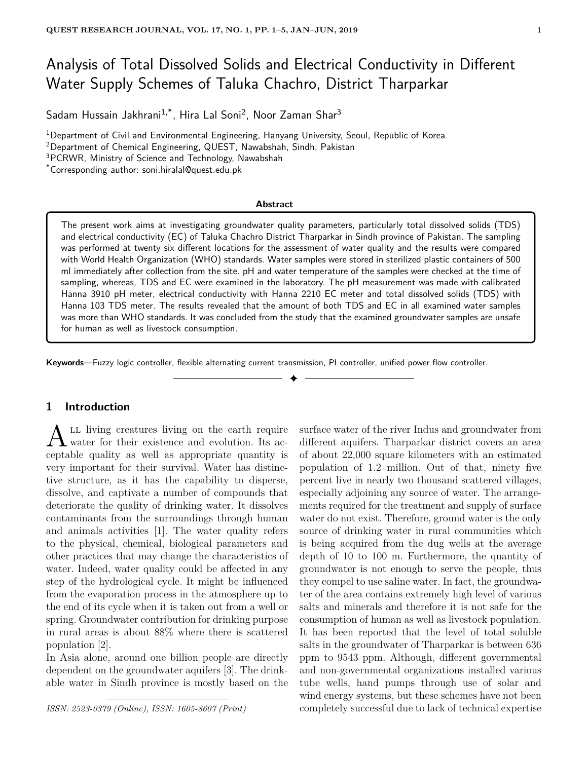# Analysis of Total Dissolved Solids and Electrical Conductivity in Different Water Supply Schemes of Taluka Chachro, District Tharparkar

Sadam Hussain Jakhrani<sup>1,\*</sup>, Hira Lal Soni<sup>2</sup>, Noor Zaman Shar<sup>3</sup>

<sup>1</sup>Department of Civil and Environmental Engineering, Hanyang University, Seoul, Republic of Korea

<sup>2</sup>Department of Chemical Engineering, QUEST, Nawabshah, Sindh, Pakistan

<sup>3</sup>PCRWR, Ministry of Science and Technology, Nawabshah

\*Corresponding author: soni.hiralal@quest.edu.pk

#### **Abstract**

The present work aims at investigating groundwater quality parameters, particularly total dissolved solids (TDS) and electrical conductivity (EC) of Taluka Chachro District Tharparkar in Sindh province of Pakistan. The sampling was performed at twenty six different locations for the assessment of water quality and the results were compared with World Health Organization (WHO) standards. Water samples were stored in sterilized plastic containers of 500 ml immediately after collection from the site. pH and water temperature of the samples were checked at the time of sampling, whereas, TDS and EC were examined in the laboratory. The pH measurement was made with calibrated Hanna 3910 pH meter, electrical conductivity with Hanna 2210 EC meter and total dissolved solids (TDS) with Hanna 103 TDS meter. The results revealed that the amount of both TDS and EC in all examined water samples was more than WHO standards. It was concluded from the study that the examined groundwater samples are unsafe for human as well as livestock consumption.

✦

**Keywords**—Fuzzy logic controller, flexible alternating current transmission, PI controller, unified power flow controller.

# **1 Introduction**

 $\Lambda$ <sup>LL</sup> living creatures living on the earth require<br>water for their existence and evolution. Its ac-LL living creatures living on the earth require ceptable quality as well as appropriate quantity is very important for their survival. Water has distinctive structure, as it has the capability to disperse, dissolve, and captivate a number of compounds that deteriorate the quality of drinking water. It dissolves contaminants from the surroundings through human and animals activities [1]. The water quality refers to the physical, chemical, biological parameters and other practices that may change the characteristics of water. Indeed, water quality could be affected in any step of the hydrological cycle. It might be influenced from the evaporation process in the atmosphere up to the end of its cycle when it is taken out from a well or spring. Groundwater contribution for drinking purpose in rural areas is about 88% where there is scattered population [2].

In Asia alone, around one billion people are directly dependent on the groundwater aquifers [3]. The drinkable water in Sindh province is mostly based on the

*ISSN: 2523-0379 (Online), ISSN: 1605-8607 (Print)*

surface water of the river Indus and groundwater from different aquifers. Tharparkar district covers an area of about 22,000 square kilometers with an estimated population of 1.2 million. Out of that, ninety five percent live in nearly two thousand scattered villages, especially adjoining any source of water. The arrangements required for the treatment and supply of surface water do not exist. Therefore, ground water is the only source of drinking water in rural communities which is being acquired from the dug wells at the average depth of 10 to 100 m. Furthermore, the quantity of groundwater is not enough to serve the people, thus they compel to use saline water. In fact, the groundwater of the area contains extremely high level of various salts and minerals and therefore it is not safe for the consumption of human as well as livestock population. It has been reported that the level of total soluble salts in the groundwater of Tharparkar is between 636 ppm to 9543 ppm. Although, different governmental and non-governmental organizations installed various tube wells, hand pumps through use of solar and wind energy systems, but these schemes have not been completely successful due to lack of technical expertise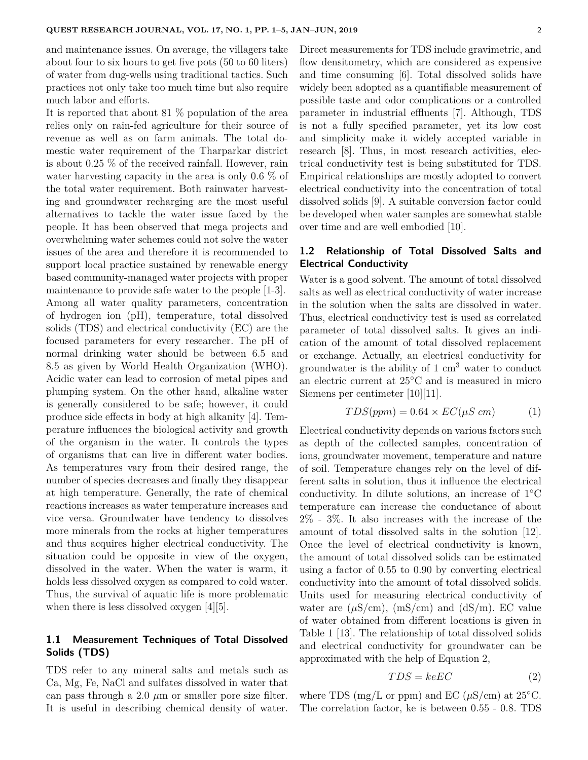and maintenance issues. On average, the villagers take about four to six hours to get five pots (50 to 60 liters) of water from dug-wells using traditional tactics. Such practices not only take too much time but also require much labor and efforts.

It is reported that about 81 % population of the area relies only on rain-fed agriculture for their source of revenue as well as on farm animals. The total domestic water requirement of the Tharparkar district is about 0.25 % of the received rainfall. However, rain water harvesting capacity in the area is only 0.6 % of the total water requirement. Both rainwater harvesting and groundwater recharging are the most useful alternatives to tackle the water issue faced by the people. It has been observed that mega projects and overwhelming water schemes could not solve the water issues of the area and therefore it is recommended to support local practice sustained by renewable energy based community-managed water projects with proper maintenance to provide safe water to the people [1-3]. Among all water quality parameters, concentration of hydrogen ion (pH), temperature, total dissolved solids (TDS) and electrical conductivity (EC) are the focused parameters for every researcher. The pH of normal drinking water should be between 6.5 and 8.5 as given by World Health Organization (WHO). Acidic water can lead to corrosion of metal pipes and plumping system. On the other hand, alkaline water is generally considered to be safe; however, it could produce side effects in body at high alkanity [4]. Temperature influences the biological activity and growth of the organism in the water. It controls the types of organisms that can live in different water bodies. As temperatures vary from their desired range, the number of species decreases and finally they disappear at high temperature. Generally, the rate of chemical reactions increases as water temperature increases and vice versa. Groundwater have tendency to dissolves more minerals from the rocks at higher temperatures and thus acquires higher electrical conductivity. The situation could be opposite in view of the oxygen, dissolved in the water. When the water is warm, it holds less dissolved oxygen as compared to cold water. Thus, the survival of aquatic life is more problematic when there is less dissolved oxygen [4][5].

# **1.1 Measurement Techniques of Total Dissolved Solids (TDS)**

TDS refer to any mineral salts and metals such as Ca, Mg, Fe, NaCl and sulfates dissolved in water that can pass through a 2.0  $\mu$ m or smaller pore size filter. It is useful in describing chemical density of water.

Direct measurements for TDS include gravimetric, and flow densitometry, which are considered as expensive and time consuming [6]. Total dissolved solids have widely been adopted as a quantifiable measurement of possible taste and odor complications or a controlled parameter in industrial effluents [7]. Although, TDS is not a fully specified parameter, yet its low cost and simplicity make it widely accepted variable in research [8]. Thus, in most research activities, electrical conductivity test is being substituted for TDS. Empirical relationships are mostly adopted to convert electrical conductivity into the concentration of total dissolved solids [9]. A suitable conversion factor could be developed when water samples are somewhat stable over time and are well embodied [10].

## **1.2 Relationship of Total Dissolved Salts and Electrical Conductivity**

Water is a good solvent. The amount of total dissolved salts as well as electrical conductivity of water increase in the solution when the salts are dissolved in water. Thus, electrical conductivity test is used as correlated parameter of total dissolved salts. It gives an indication of the amount of total dissolved replacement or exchange. Actually, an electrical conductivity for groundwater is the ability of  $1 \text{ cm}^3$  water to conduct an electric current at 25◦C and is measured in micro Siemens per centimeter [10][11].

$$
TDS(ppm) = 0.64 \times EC(\mu S \ cm) \tag{1}
$$

Electrical conductivity depends on various factors such as depth of the collected samples, concentration of ions, groundwater movement, temperature and nature of soil. Temperature changes rely on the level of different salts in solution, thus it influence the electrical conductivity. In dilute solutions, an increase of 1◦C temperature can increase the conductance of about 2% - 3%. It also increases with the increase of the amount of total dissolved salts in the solution [12]. Once the level of electrical conductivity is known, the amount of total dissolved solids can be estimated using a factor of 0.55 to 0.90 by converting electrical conductivity into the amount of total dissolved solids. Units used for measuring electrical conductivity of water are  $(\mu S/cm)$ ,  $(mS/cm)$  and  $(dS/m)$ . EC value of water obtained from different locations is given in Table 1 [13]. The relationship of total dissolved solids and electrical conductivity for groundwater can be approximated with the help of Equation 2,

$$
TDS = keEC\tag{2}
$$

where TDS (mg/L or ppm) and EC ( $\mu$ S/cm) at 25<sup>°</sup>C. The correlation factor, ke is between 0.55 - 0.8. TDS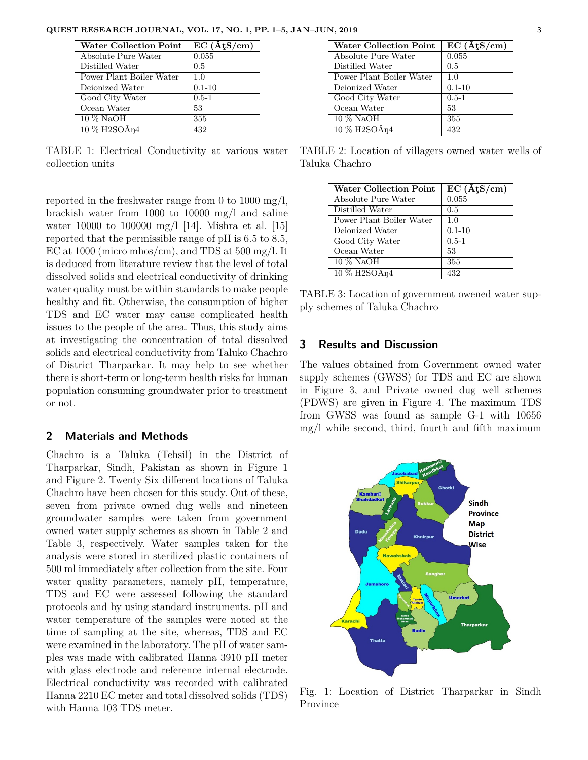**QUEST RESEARCH JOURNAL, VOL. 17, NO. 1, PP. 1–5, JAN–JUN, 2019** 3

| <b>Water Collection Point</b>                        | $\overline{EC}(\widehat{A} \mathfrak{t} S/cm)$ |
|------------------------------------------------------|------------------------------------------------|
| Absolute Pure Water                                  | 0.055                                          |
| Distilled Water                                      | 0.5                                            |
| Power Plant Boiler Water                             | 1.0                                            |
| Deionized Water                                      | $0.1 - 10$                                     |
| Good City Water                                      | $0.5 - 1$                                      |
| Ocean Water                                          | 53                                             |
| $10\%$ NaOH                                          | 355                                            |
| $10\%$ H <sub>2</sub> SO $\rm\AA$ <sub>n</sub> $\rm$ | 432                                            |

TABLE 1: Electrical Conductivity at various water collection units

reported in the freshwater range from 0 to 1000 mg/l, brackish water from 1000 to 10000 mg/l and saline water 10000 to 100000 mg/l [14]. Mishra et al. [15] reported that the permissible range of pH is 6.5 to 8.5, EC at 1000 (micro mhos/cm), and TDS at  $500 \text{ mg/l}$ . It is deduced from literature review that the level of total dissolved solids and electrical conductivity of drinking water quality must be within standards to make people healthy and fit. Otherwise, the consumption of higher TDS and EC water may cause complicated health issues to the people of the area. Thus, this study aims at investigating the concentration of total dissolved solids and electrical conductivity from Taluko Chachro of District Tharparkar. It may help to see whether there is short-term or long-term health risks for human population consuming groundwater prior to treatment or not.

#### **2 Materials and Methods**

Chachro is a Taluka (Tehsil) in the District of Tharparkar, Sindh, Pakistan as shown in Figure 1 and Figure 2. Twenty Six different locations of Taluka Chachro have been chosen for this study. Out of these, seven from private owned dug wells and nineteen groundwater samples were taken from government owned water supply schemes as shown in Table 2 and Table 3, respectively. Water samples taken for the analysis were stored in sterilized plastic containers of 500 ml immediately after collection from the site. Four water quality parameters, namely pH, temperature, TDS and EC were assessed following the standard protocols and by using standard instruments. pH and water temperature of the samples were noted at the time of sampling at the site, whereas, TDS and EC were examined in the laboratory. The pH of water samples was made with calibrated Hanna 3910 pH meter with glass electrode and reference internal electrode. Electrical conductivity was recorded with calibrated Hanna 2210 EC meter and total dissolved solids (TDS) with Hanna 103 TDS meter.

| <b>Water Collection Point</b>                    | $EC (\hat{A}tS/cm)$ |
|--------------------------------------------------|---------------------|
| Absolute Pure Water                              | 0.055               |
| Distilled Water                                  | 0.5                 |
| Power Plant Boiler Water                         | 1.0                 |
| Deionized Water                                  | $0.1 - 10$          |
| Good City Water                                  | $0.5 - 1$           |
| Ocean Water                                      | 53                  |
| 10 % NaOH                                        | 355                 |
| $10\%$ H <sub>2</sub> SO $\rm\AA$ <sub>N</sub> 4 | 432                 |

TABLE 2: Location of villagers owned water wells of Taluka Chachro

| <b>Water Collection Point</b>                      | $\overline{\mathrm{EC}}$ ( $\hat{\mathrm{A}}$ t $\overline{\mathrm{S}}$ /cm) |
|----------------------------------------------------|------------------------------------------------------------------------------|
| Absolute Pure Water                                | $\overline{0.055}$                                                           |
| Distilled Water                                    | 0.5                                                                          |
| Power Plant Boiler Water                           | 1.0                                                                          |
| Deionized Water                                    | $0.1 - 10$                                                                   |
| Good City Water                                    | $0.5 - 1$                                                                    |
| Ocean Water                                        | 53                                                                           |
| $10\%$ NaOH                                        | 355                                                                          |
| $10\%$ H <sub>2</sub> SO $\rm\AA$ <sub>n</sub> $4$ | 432                                                                          |

TABLE 3: Location of government owened water supply schemes of Taluka Chachro

## **3 Results and Discussion**

The values obtained from Government owned water supply schemes (GWSS) for TDS and EC are shown in Figure 3, and Private owned dug well schemes (PDWS) are given in Figure 4. The maximum TDS from GWSS was found as sample G-1 with 10656 mg/l while second, third, fourth and fifth maximum



Fig. 1: Location of District Tharparkar in Sindh Province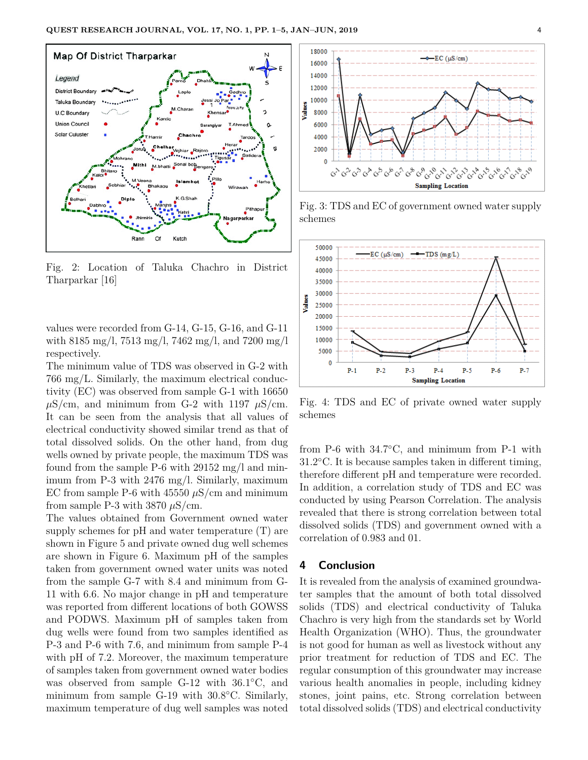

Fig. 2: Location of Taluka Chachro in District Tharparkar [16]

values were recorded from G-14, G-15, G-16, and G-11 with 8185 mg/l, 7513 mg/l, 7462 mg/l, and 7200 mg/l respectively.

The minimum value of TDS was observed in G-2 with 766 mg/L. Similarly, the maximum electrical conductivity (EC) was observed from sample G-1 with 16650  $\mu$ S/cm, and minimum from G-2 with 1197  $\mu$ S/cm. It can be seen from the analysis that all values of electrical conductivity showed similar trend as that of total dissolved solids. On the other hand, from dug wells owned by private people, the maximum TDS was found from the sample P-6 with 29152 mg/l and minimum from P-3 with 2476 mg/l. Similarly, maximum EC from sample P-6 with  $45550 \mu S/cm$  and minimum from sample P-3 with  $3870 \mu$ S/cm.

The values obtained from Government owned water supply schemes for pH and water temperature (T) are shown in Figure 5 and private owned dug well schemes are shown in Figure 6. Maximum pH of the samples taken from government owned water units was noted from the sample G-7 with 8.4 and minimum from G-11 with 6.6. No major change in pH and temperature was reported from different locations of both GOWSS and PODWS. Maximum pH of samples taken from dug wells were found from two samples identified as P-3 and P-6 with 7.6, and minimum from sample P-4 with pH of 7.2. Moreover, the maximum temperature of samples taken from government owned water bodies was observed from sample G-12 with 36.1◦C, and minimum from sample G-19 with 30.8◦C. Similarly, maximum temperature of dug well samples was noted



Fig. 3: TDS and EC of government owned water supply schemes



Fig. 4: TDS and EC of private owned water supply schemes

from P-6 with 34.7◦C, and minimum from P-1 with 31.2◦C. It is because samples taken in different timing, therefore different pH and temperature were recorded. In addition, a correlation study of TDS and EC was conducted by using Pearson Correlation. The analysis revealed that there is strong correlation between total dissolved solids (TDS) and government owned with a correlation of 0.983 and 01.

#### **4 Conclusion**

It is revealed from the analysis of examined groundwater samples that the amount of both total dissolved solids (TDS) and electrical conductivity of Taluka Chachro is very high from the standards set by World Health Organization (WHO). Thus, the groundwater is not good for human as well as livestock without any prior treatment for reduction of TDS and EC. The regular consumption of this groundwater may increase various health anomalies in people, including kidney stones, joint pains, etc. Strong correlation between total dissolved solids (TDS) and electrical conductivity